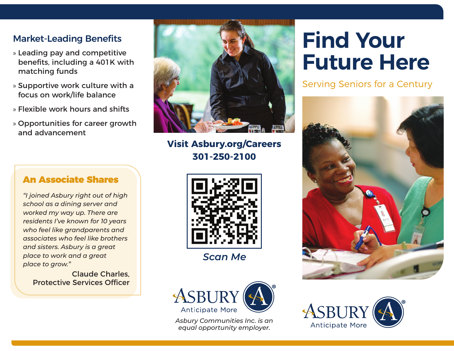# **Market-Leading Benefits**

- » Leading pay and competitive benefits, including a 401K with matching funds
- » Supportive work culture with a focus on work/life balance
- » Flexible work hours and shifts
- » Opportunities for career growth and advancement



**301-250-2100 Visit Asbury.org/Careers**



*Scan Me*



*Asbury Communities Inc. is an equal opportunity employer.* 

# **Find Your Future Here**

Serving Seniors for a Century





## An Associate Shares

*"I joined Asbury right out of high school as a dining server and worked my way up. There are residents I've known for 10 years who feel like grandparents and associates who feel like brothers and sisters. Asbury is a great place to work and a great place to grow."*

Claude Charles, Protective Services Officer